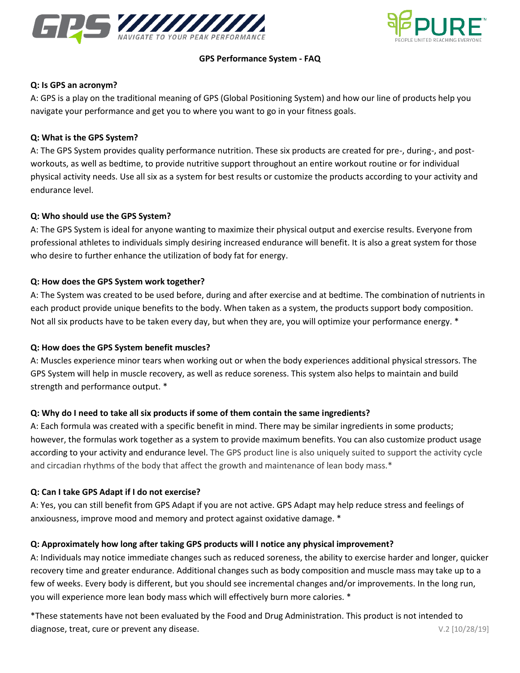



### **GPS Performance System - FAQ**

#### **Q: Is GPS an acronym?**

A: GPS is a play on the traditional meaning of GPS (Global Positioning System) and how our line of products help you navigate your performance and get you to where you want to go in your fitness goals.

#### **Q: What is the GPS System?**

A: The GPS System provides quality performance nutrition. These six products are created for pre-, during-, and postworkouts, as well as bedtime, to provide nutritive support throughout an entire workout routine or for individual physical activity needs. Use all six as a system for best results or customize the products according to your activity and endurance level.

#### **Q: Who should use the GPS System?**

A: The GPS System is ideal for anyone wanting to maximize their physical output and exercise results. Everyone from professional athletes to individuals simply desiring increased endurance will benefit. It is also a great system for those who desire to further enhance the utilization of body fat for energy.

#### **Q: How does the GPS System work together?**

A: The System was created to be used before, during and after exercise and at bedtime. The combination of nutrients in each product provide unique benefits to the body. When taken as a system, the products support body composition. Not all six products have to be taken every day, but when they are, you will optimize your performance energy. \*

### **Q: How does the GPS System benefit muscles?**

A: Muscles experience minor tears when working out or when the body experiences additional physical stressors. The GPS System will help in muscle recovery, as well as reduce soreness. This system also helps to maintain and build strength and performance output. \*

### **Q: Why do I need to take all six products if some of them contain the same ingredients?**

A: Each formula was created with a specific benefit in mind. There may be similar ingredients in some products; however, the formulas work together as a system to provide maximum benefits. You can also customize product usage according to your activity and endurance level. The GPS product line is also uniquely suited to support the activity cycle and circadian rhythms of the body that affect the growth and maintenance of lean body mass.\*

### **Q: Can I take GPS Adapt if I do not exercise?**

A: Yes, you can still benefit from GPS Adapt if you are not active. GPS Adapt may help reduce stress and feelings of anxiousness, improve mood and memory and protect against oxidative damage. \*

### **Q: Approximately how long after taking GPS products will I notice any physical improvement?**

A: Individuals may notice immediate changes such as reduced soreness, the ability to exercise harder and longer, quicker recovery time and greater endurance. Additional changes such as body composition and muscle mass may take up to a few of weeks. Every body is different, but you should see incremental changes and/or improvements. In the long run, you will experience more lean body mass which will effectively burn more calories. \*

\*These statements have not been evaluated by the Food and Drug Administration. This product is not intended to diagnose, treat, cure or prevent any disease. The second second second second second second second second second second second second second second second second second second second second second second second second seco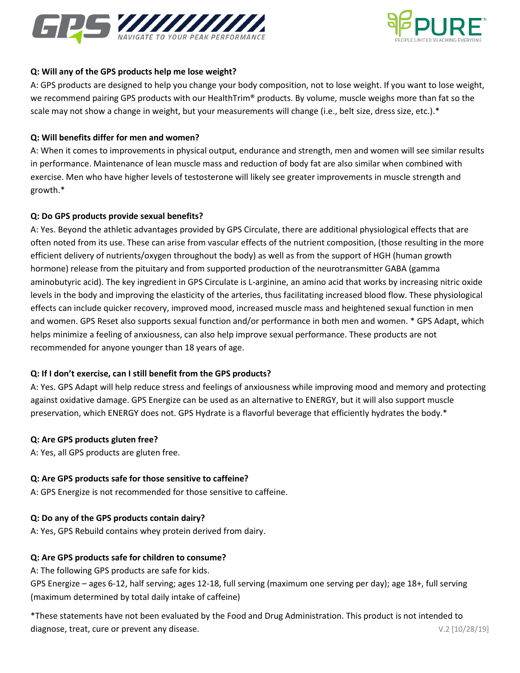



### **Q: Will any of the GPS products help me lose weight?**

A: GPS products are designed to help you change your body composition, not to lose weight. If you want to lose weight, we recommend pairing GPS products with our HealthTrim® products. By volume, muscle weighs more than fat so the scale may not show a change in weight, but your measurements will change (i.e., belt size, dress size, etc.).\*

### **Q: Will benefits differ for men and women?**

A: When it comes to improvements in physical output, endurance and strength, men and women will see similar results in performance. Maintenance of lean muscle mass and reduction of body fat are also similar when combined with exercise. Men who have higher levels of testosterone will likely see greater improvements in muscle strength and growth.\*

## **Q: Do GPS products provide sexual benefits?**

A: Yes. Beyond the athletic advantages provided by GPS Circulate, there are additional physiological effects that are often noted from its use. These can arise from vascular effects of the nutrient composition, (those resulting in the more efficient delivery of nutrients/oxygen throughout the body) as well as from the support of HGH (human growth hormone) release from the pituitary and from supported production of the neurotransmitter GABA (gamma aminobutyric acid). The key ingredient in GPS Circulate is L-arginine, an amino acid that works by increasing nitric oxide levels in the body and improving the elasticity of the arteries, thus facilitating increased blood flow. These physiological effects can include quicker recovery, improved mood, increased muscle mass and heightened sexual function in men and women. GPS Reset also supports sexual function and/or performance in both men and women. \* GPS Adapt, which helps minimize a feeling of anxiousness, can also help improve sexual performance. These products are not recommended for anyone younger than 18 years of age.

# **Q: If I don't exercise, can I still benefit from the GPS products?**

A: Yes. GPS Adapt will help reduce stress and feelings of anxiousness while improving mood and memory and protecting against oxidative damage. GPS Energize can be used as an alternative to ENERGY, but it will also support muscle preservation, which ENERGY does not. GPS Hydrate is a flavorful beverage that efficiently hydrates the body.\*

### **Q: Are GPS products gluten free?**

A: Yes, all GPS products are gluten free.

### **Q: Are GPS products safe for those sensitive to caffeine?**

A: GPS Energize is not recommended for those sensitive to caffeine.

# **Q: Do any of the GPS products contain dairy?**

A: Yes, GPS Rebuild contains whey protein derived from dairy.

# **Q: Are GPS products safe for children to consume?**

A: The following GPS products are safe for kids.

GPS Energize – ages 6-12, half serving; ages 12-18, full serving (maximum one serving per day); age 18+, full serving (maximum determined by total daily intake of caffeine)

\*These statements have not been evaluated by the Food and Drug Administration. This product is not intended to diagnose, treat, cure or prevent any disease. The second second second second second second second second second second second second second second second second second second second second second second second second seco